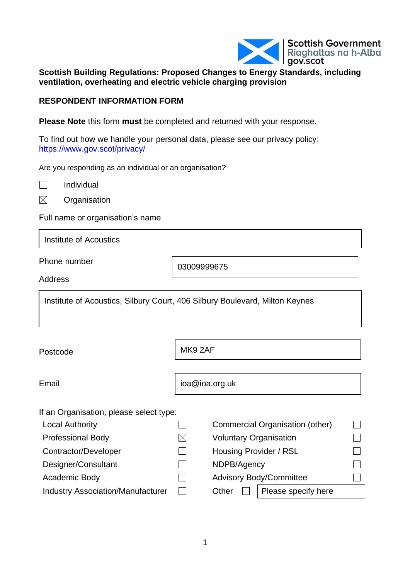

#### **Scottish Building Regulations: Proposed Changes to Energy Standards, including ventilation, overheating and electric vehicle charging provision**

#### **RESPONDENT INFORMATION FORM**

**Please Note** this form **must** be completed and returned with your response.

To find out how we handle your personal data, please see our privacy policy: <https://www.gov.scot/privacy/>

Are you responding as an individual or an organisation?

 $\Box$ Individual

 $\boxtimes$ **Organisation** 

Full name or organisation's name

Institute of Acoustics

Phone number

03009999675

**Address** 

Institute of Acoustics, Silbury Court, 406 Silbury Boulevard, Milton Keynes

Postcode

MK9 2AF

Email

ioa@ioa.org.uk

If an Organisation, please select type:

Local Authority  $\Box$ 

Professional Body  $\boxtimes$ Contractor/Developer  $\Box$ 

Designer/Consultant  $\square$ 

Academic Body  $\Box$ 

Industry Association/Manufacturer  $\Box$ 

|                                | Commercial Organisation (other) |  |
|--------------------------------|---------------------------------|--|
| <b>Voluntary Organisation</b>  |                                 |  |
| Housing Provider / RSL         |                                 |  |
| NDPB/Agency                    |                                 |  |
| <b>Advisory Body/Committee</b> |                                 |  |
| Other                          | Please specify here             |  |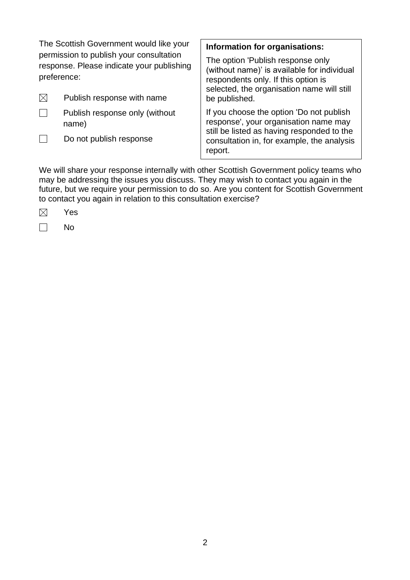| The Scottish Government would like your<br>permission to publish your consultation<br>response. Please indicate your publishing<br>preference: |                                         | Information for organisations:<br>The option 'Publish response only<br>(without name)' is available for individual<br>respondents only. If this option is<br>selected, the organisation name will still |  |
|------------------------------------------------------------------------------------------------------------------------------------------------|-----------------------------------------|---------------------------------------------------------------------------------------------------------------------------------------------------------------------------------------------------------|--|
| $\boxtimes$                                                                                                                                    | Publish response with name              | be published.                                                                                                                                                                                           |  |
|                                                                                                                                                | Publish response only (without<br>name) | If you choose the option 'Do not publish<br>response', your organisation name may<br>still be listed as having responded to the                                                                         |  |
|                                                                                                                                                | Do not publish response                 | consultation in, for example, the analysis<br>report.                                                                                                                                                   |  |

We will share your response internally with other Scottish Government policy teams who may be addressing the issues you discuss. They may wish to contact you again in the future, but we require your permission to do so. Are you content for Scottish Government to contact you again in relation to this consultation exercise?

| u<br>⊸ |
|--------|
|        |

 $\Box$ No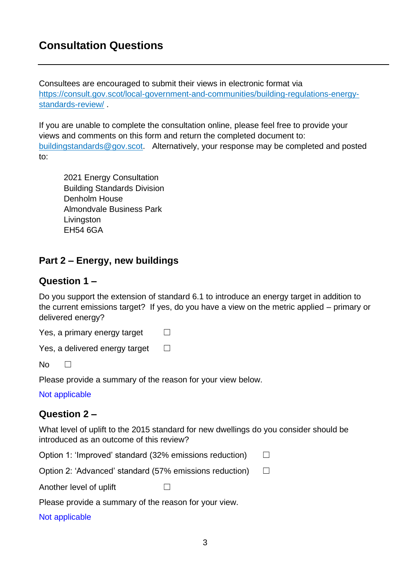# **Consultation Questions**

Consultees are encouraged to submit their views in electronic format via [https://consult.gov.scot/local-government-and-communities/building-regulations-energy](https://consult.gov.scot/local-government-and-communities/building-regulations-energy-standards-review/)[standards-review/](https://consult.gov.scot/local-government-and-communities/building-regulations-energy-standards-review/) .

If you are unable to complete the consultation online, please feel free to provide your views and comments on this form and return the completed document to: [buildingstandards@gov.scot.](mailto:buildingstandards@gov.scot) Alternatively, your response may be completed and posted

to:

2021 Energy Consultation Building Standards Division Denholm House Almondvale Business Park **Livingston** EH54 6GA

# **Part 2 – Energy, new buildings**

## **Question 1 –**

Do you support the extension of standard 6.1 to introduce an energy target in addition to the current emissions target? If yes, do you have a view on the metric applied – primary or delivered energy?

Yes, a primary energy target  $\Box$ 

 $No \square$ 

Please provide a summary of the reason for your view below.

Not applicable

## **Question 2 –**

What level of uplift to the 2015 standard for new dwellings do you consider should be introduced as an outcome of this review?

| Option 1: 'Improved' standard (32% emissions reduction) |  | $\Box$ |
|---------------------------------------------------------|--|--------|
| Option 2: 'Advanced' standard (57% emissions reduction) |  | $\Box$ |
| Another level of uplift                                 |  |        |
| Please provide a summary of the reason for your view.   |  |        |
| Not applicable                                          |  |        |

3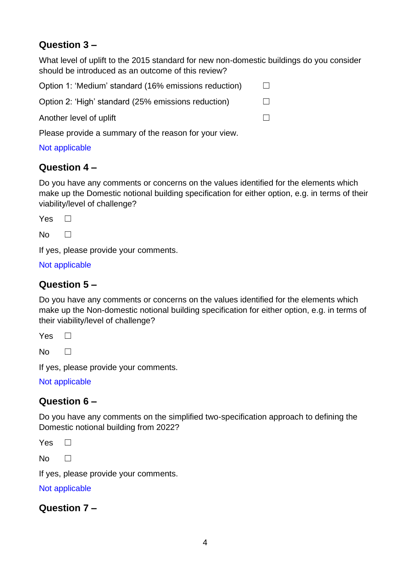# **Question 3 –**

What level of uplift to the 2015 standard for new non-domestic buildings do you consider should be introduced as an outcome of this review?

Option 1: 'Medium' standard (16% emissions reduction)  $\Box$ 

Option 2: 'High' standard (25% emissions reduction)  $\Box$ 

Another level of uplift  $\Box$ 

Please provide a summary of the reason for your view.

### Not applicable

# **Question 4 –**

Do you have any comments or concerns on the values identified for the elements which make up the Domestic notional building specification for either option, e.g. in terms of their viability/level of challenge?

Yes <del>□</del>

 $No \square$ 

If yes, please provide your comments.

### Not applicable

# **Question 5 –**

Do you have any comments or concerns on the values identified for the elements which make up the Non-domestic notional building specification for either option, e.g. in terms of their viability/level of challenge?

Yes □

 $No \qquad \Box$ 

If yes, please provide your comments.

Not applicable

## **Question 6 –**

Do you have any comments on the simplified two-specification approach to defining the Domestic notional building from 2022?

Yes □

 $No \square$ 

If yes, please provide your comments.

Not applicable

## **Question 7 –**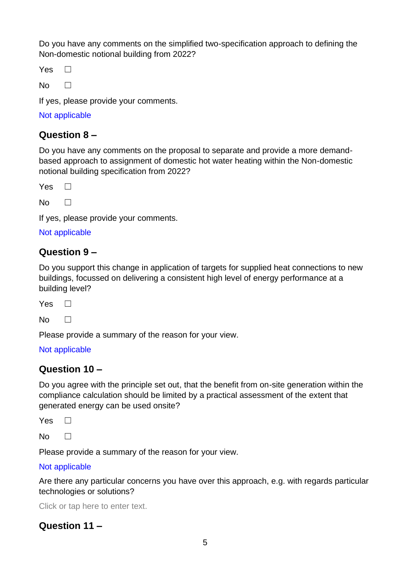Do you have any comments on the simplified two-specification approach to defining the Non-domestic notional building from 2022?

Yes <del>□</del>

 $No \square$ 

If yes, please provide your comments.

Not applicable

## **Question 8 –**

Do you have any comments on the proposal to separate and provide a more demandbased approach to assignment of domestic hot water heating within the Non-domestic notional building specification from 2022?

 $Yes \ \Box$ 

 $No$   $\Box$ 

If yes, please provide your comments.

Not applicable

## **Question 9 –**

Do you support this change in application of targets for supplied heat connections to new buildings, focussed on delivering a consistent high level of energy performance at a building level?

 $Yes \ \Box$ 

 $No \square$ 

Please provide a summary of the reason for your view.

#### Not applicable

## **Question 10 –**

Do you agree with the principle set out, that the benefit from on-site generation within the compliance calculation should be limited by a practical assessment of the extent that generated energy can be used onsite?

 $Yes \ \Box$ 

 $No \qquad \Box$ 

Please provide a summary of the reason for your view.

#### Not applicable

Are there any particular concerns you have over this approach, e.g. with regards particular technologies or solutions?

Click or tap here to enter text.

# **Question 11 –**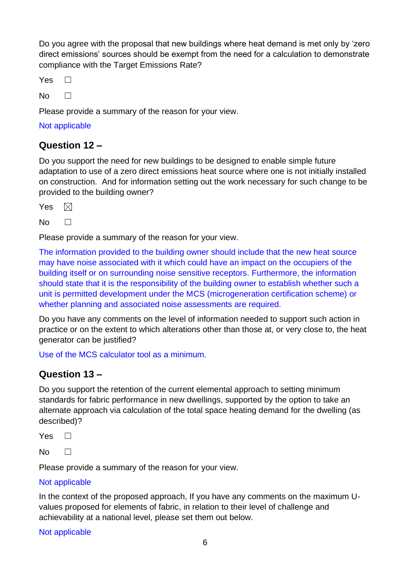Do you agree with the proposal that new buildings where heat demand is met only by 'zero direct emissions' sources should be exempt from the need for a calculation to demonstrate compliance with the Target Emissions Rate?

Yes <del>□</del>

 $No \qquad \Box$ 

Please provide a summary of the reason for your view.

Not applicable

### **Question 12 –**

Do you support the need for new buildings to be designed to enable simple future adaptation to use of a zero direct emissions heat source where one is not initially installed on construction. And for information setting out the work necessary for such change to be provided to the building owner?

Yes  $\boxtimes$ 

 $No \qquad \Box$ 

Please provide a summary of the reason for your view.

The information provided to the building owner should include that the new heat source may have noise associated with it which could have an impact on the occupiers of the building itself or on surrounding noise sensitive receptors. Furthermore, the information should state that it is the responsibility of the building owner to establish whether such a unit is permitted development under the MCS (microgeneration certification scheme) or whether planning and associated noise assessments are required.

Do you have any comments on the level of information needed to support such action in practice or on the extent to which alterations other than those at, or very close to, the heat generator can be justified?

Use of the MCS calculator tool as a minimum.

### **Question 13 –**

Do you support the retention of the current elemental approach to setting minimum standards for fabric performance in new dwellings, supported by the option to take an alternate approach via calculation of the total space heating demand for the dwelling (as described)?

Yes <del>□</del>

 $No \qquad \Box$ 

Please provide a summary of the reason for your view.

#### Not applicable

In the context of the proposed approach, If you have any comments on the maximum Uvalues proposed for elements of fabric, in relation to their level of challenge and achievability at a national level, please set them out below.

Not applicable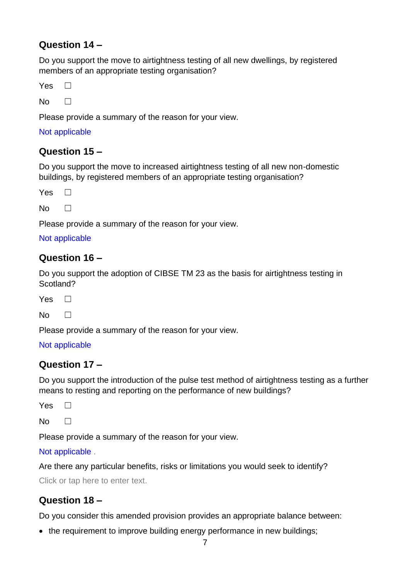# **Question 14 –**

Do you support the move to airtightness testing of all new dwellings, by registered members of an appropriate testing organisation?

Yes □

 $No$   $\Box$ 

Please provide a summary of the reason for your view.

Not applicable

# **Question 15 –**

Do you support the move to increased airtightness testing of all new non-domestic buildings, by registered members of an appropriate testing organisation?

Yes <del>□</del>

 $No \qquad \Box$ 

Please provide a summary of the reason for your view.

#### Not applicable

## **Question 16 –**

Do you support the adoption of CIBSE TM 23 as the basis for airtightness testing in Scotland?

Yes <del>□</del>

 $No \square$ 

Please provide a summary of the reason for your view.

#### Not applicable

### **Question 17 –**

Do you support the introduction of the pulse test method of airtightness testing as a further means to resting and reporting on the performance of new buildings?

 $Yes \Box$ 

 $No \qquad \Box$ 

Please provide a summary of the reason for your view.

Not applicable .

Are there any particular benefits, risks or limitations you would seek to identify?

Click or tap here to enter text.

# **Question 18 –**

Do you consider this amended provision provides an appropriate balance between:

• the requirement to improve building energy performance in new buildings;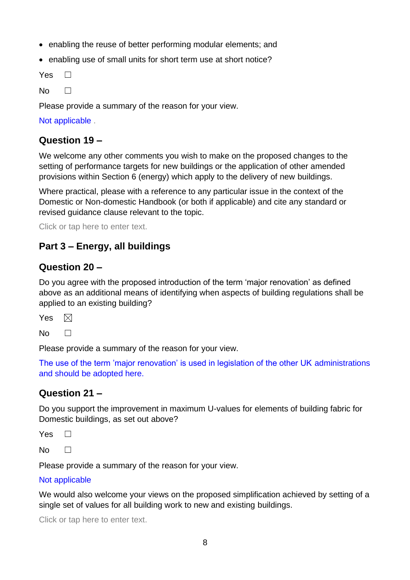- enabling the reuse of better performing modular elements; and
- enabling use of small units for short term use at short notice?

Yes <del>□</del>

 $No \qquad \Box$ 

Please provide a summary of the reason for your view.

Not applicable .

### **Question 19 –**

We welcome any other comments you wish to make on the proposed changes to the setting of performance targets for new buildings or the application of other amended provisions within Section 6 (energy) which apply to the delivery of new buildings.

Where practical, please with a reference to any particular issue in the context of the Domestic or Non-domestic Handbook (or both if applicable) and cite any standard or revised guidance clause relevant to the topic.

Click or tap here to enter text.

# **Part 3 – Energy, all buildings**

### **Question 20 –**

Do you agree with the proposed introduction of the term 'major renovation' as defined above as an additional means of identifying when aspects of building regulations shall be applied to an existing building?

Yes  $\boxtimes$ 

 $No \qquad \Box$ 

Please provide a summary of the reason for your view.

The use of the term 'major renovation' is used in legislation of the other UK administrations and should be adopted here.

## **Question 21 –**

Do you support the improvement in maximum U-values for elements of building fabric for Domestic buildings, as set out above?

 $Yes \ \Box$ 

 $No \square$ 

Please provide a summary of the reason for your view.

#### Not applicable

We would also welcome your views on the proposed simplification achieved by setting of a single set of values for all building work to new and existing buildings.

Click or tap here to enter text.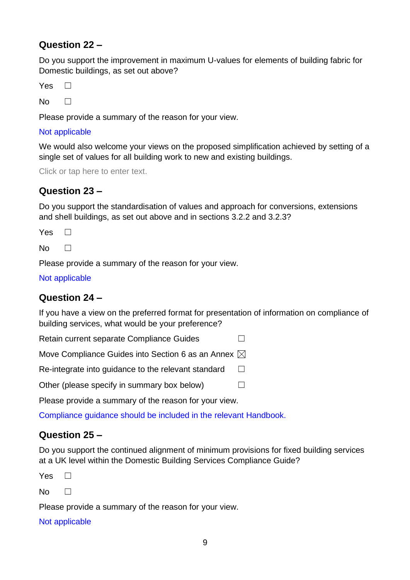# **Question 22 –**

Do you support the improvement in maximum U-values for elements of building fabric for Domestic buildings, as set out above?

Yes □

 $No$   $\Box$ 

Please provide a summary of the reason for your view.

#### Not applicable

We would also welcome your views on the proposed simplification achieved by setting of a single set of values for all building work to new and existing buildings.

Click or tap here to enter text.

# **Question 23 –**

Do you support the standardisation of values and approach for conversions, extensions and shell buildings, as set out above and in sections 3.2.2 and 3.2.3?

Yes <del>□</del>

 $No \qquad \Box$ 

Please provide a summary of the reason for your view.

Not applicable

## **Question 24 –**

If you have a view on the preferred format for presentation of information on compliance of building services, what would be your preference?

Retain current separate Compliance Guides □

Move Compliance Guides into Section 6 as an Annex  $\boxtimes$ 

Re-integrate into guidance to the relevant standard  $\Box$ 

Other (please specify in summary box below)  $\Box$ 

Please provide a summary of the reason for your view.

Compliance guidance should be included in the relevant Handbook.

## **Question 25 –**

Do you support the continued alignment of minimum provisions for fixed building services at a UK level within the Domestic Building Services Compliance Guide?

 $Yes \ \Box$ 

 $No \qquad \Box$ 

Please provide a summary of the reason for your view.

Not applicable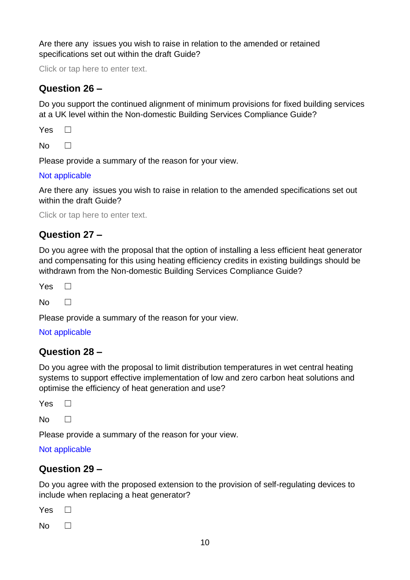Are there any issues you wish to raise in relation to the amended or retained specifications set out within the draft Guide?

Click or tap here to enter text.

## **Question 26 –**

Do you support the continued alignment of minimum provisions for fixed building services at a UK level within the Non-domestic Building Services Compliance Guide?

 $Yes \Box$ 

 $No \qquad \Box$ 

Please provide a summary of the reason for your view.

#### Not applicable

Are there any issues you wish to raise in relation to the amended specifications set out within the draft Guide?

Click or tap here to enter text.

## **Question 27 –**

Do you agree with the proposal that the option of installing a less efficient heat generator and compensating for this using heating efficiency credits in existing buildings should be withdrawn from the Non-domestic Building Services Compliance Guide?

 $Yes \Box$ 

 $No \square$ 

Please provide a summary of the reason for your view.

#### Not applicable

### **Question 28 –**

Do you agree with the proposal to limit distribution temperatures in wet central heating systems to support effective implementation of low and zero carbon heat solutions and optimise the efficiency of heat generation and use?

Yes □

 $N<sub>0</sub>$   $\Box$ 

Please provide a summary of the reason for your view.

#### Not applicable

### **Question 29 –**

Do you agree with the proposed extension to the provision of self-regulating devices to include when replacing a heat generator?

Yes <del>□</del>

 $No \square$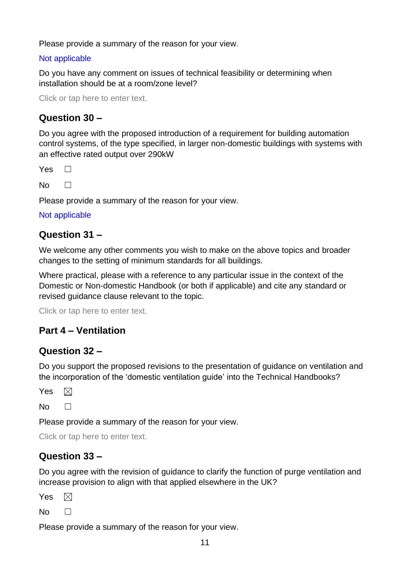Please provide a summary of the reason for your view.

#### Not applicable

Do you have any comment on issues of technical feasibility or determining when installation should be at a room/zone level?

Click or tap here to enter text.

### **Question 30 –**

Do you agree with the proposed introduction of a requirement for building automation control systems, of the type specified, in larger non-domestic buildings with systems with an effective rated output over 290kW

 $Yes \ \Box$ 

 $No \qquad \Box$ 

Please provide a summary of the reason for your view.

#### Not applicable

### **Question 31 –**

We welcome any other comments you wish to make on the above topics and broader changes to the setting of minimum standards for all buildings.

Where practical, please with a reference to any particular issue in the context of the Domestic or Non-domestic Handbook (or both if applicable) and cite any standard or revised guidance clause relevant to the topic.

Click or tap here to enter text.

## **Part 4 – Ventilation**

### **Question 32 –**

Do you support the proposed revisions to the presentation of guidance on ventilation and the incorporation of the 'domestic ventilation guide' into the Technical Handbooks?

 $\boxtimes$ Yes

 $N<sub>0</sub>$   $\Box$ 

Please provide a summary of the reason for your view.

Click or tap here to enter text.

## **Question 33 –**

Do you agree with the revision of guidance to clarify the function of purge ventilation and increase provision to align with that applied elsewhere in the UK?

Yes  $\boxtimes$ 

 $No \square$ 

Please provide a summary of the reason for your view.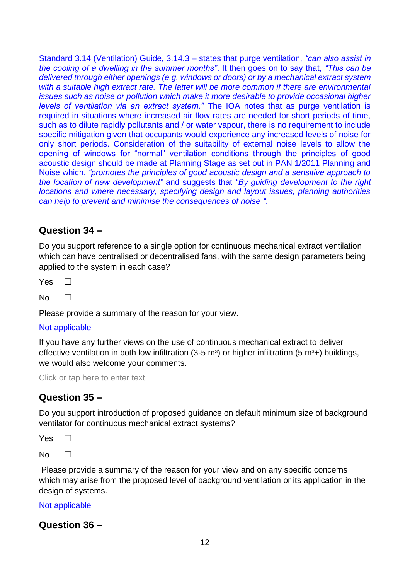Standard 3.14 (Ventilation) Guide, 3.14.3 – states that purge ventilation, *"can also assist in the cooling of a dwelling in the summer months"*. It then goes on to say that, *"This can be delivered through either openings (e.g. windows or doors) or by a mechanical extract system*  with a suitable high extract rate. The latter will be more common if there are environmental *issues such as noise or pollution which make it more desirable to provide occasional higher levels of ventilation via an extract system."* The IOA notes that as purge ventilation is required in situations where increased air flow rates are needed for short periods of time, such as to dilute rapidly pollutants and / or water vapour, there is no requirement to include specific mitigation given that occupants would experience any increased levels of noise for only short periods. Consideration of the suitability of external noise levels to allow the opening of windows for "normal" ventilation conditions through the principles of good acoustic design should be made at Planning Stage as set out in PAN 1/2011 Planning and Noise which, *"promotes the principles of good acoustic design and a sensitive approach to the location of new development"* and suggests that *"By guiding development to the right locations and where necessary, specifying design and layout issues, planning authorities can help to prevent and minimise the consequences of noise ".*

### **Question 34 –**

Do you support reference to a single option for continuous mechanical extract ventilation which can have centralised or decentralised fans, with the same design parameters being applied to the system in each case?

Yes □

 $No \square$ 

Please provide a summary of the reason for your view.

#### Not applicable

If you have any further views on the use of continuous mechanical extract to deliver effective ventilation in both low infiltration (3-5 m<sup>3</sup>) or higher infiltration (5 m<sup>3</sup>+) buildings, we would also welcome your comments.

Click or tap here to enter text.

#### **Question 35 –**

Do you support introduction of proposed guidance on default minimum size of background ventilator for continuous mechanical extract systems?

Yes <del>□</del>

 $No \square$ 

Please provide a summary of the reason for your view and on any specific concerns which may arise from the proposed level of background ventilation or its application in the design of systems.

Not applicable

**Question 36 –**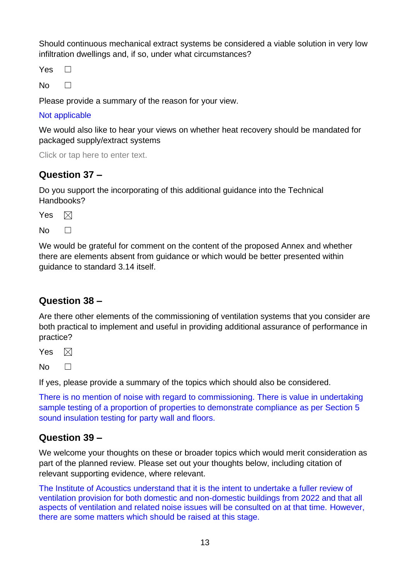Should continuous mechanical extract systems be considered a viable solution in very low infiltration dwellings and, if so, under what circumstances?

 $Yes \ \Box$ 

 $No \square$ 

Please provide a summary of the reason for your view.

#### Not applicable

We would also like to hear your views on whether heat recovery should be mandated for packaged supply/extract systems

Click or tap here to enter text.

# **Question 37 –**

Do you support the incorporating of this additional guidance into the Technical Handbooks?

 $\boxtimes$ Yes

 $No \square$ 

We would be grateful for comment on the content of the proposed Annex and whether there are elements absent from guidance or which would be better presented within guidance to standard 3.14 itself.

## **Question 38 –**

Are there other elements of the commissioning of ventilation systems that you consider are both practical to implement and useful in providing additional assurance of performance in practice?

Yes  $\boxtimes$ 

 $No \qquad \Box$ 

If yes, please provide a summary of the topics which should also be considered.

There is no mention of noise with regard to commissioning. There is value in undertaking sample testing of a proportion of properties to demonstrate compliance as per Section 5 sound insulation testing for party wall and floors.

## **Question 39 –**

We welcome your thoughts on these or broader topics which would merit consideration as part of the planned review. Please set out your thoughts below, including citation of relevant supporting evidence, where relevant.

The Institute of Acoustics understand that it is the intent to undertake a fuller review of ventilation provision for both domestic and non-domestic buildings from 2022 and that all aspects of ventilation and related noise issues will be consulted on at that time. However, there are some matters which should be raised at this stage.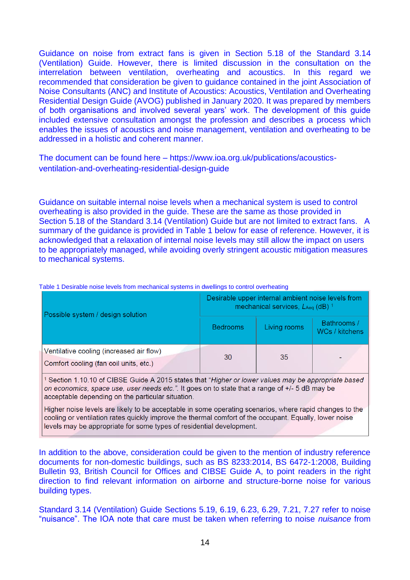Guidance on noise from extract fans is given in Section 5.18 of the Standard 3.14 (Ventilation) Guide. However, there is limited discussion in the consultation on the interrelation between ventilation, overheating and acoustics. In this regard we recommended that consideration be given to guidance contained in the joint Association of Noise Consultants (ANC) and Institute of Acoustics: Acoustics, Ventilation and Overheating Residential Design Guide (AVOG) published in January 2020. It was prepared by members of both organisations and involved several years' work. The development of this guide included extensive consultation amongst the profession and describes a process which enables the issues of acoustics and noise management, ventilation and overheating to be addressed in a holistic and coherent manner.

The document can be found here – https://www.ioa.org.uk/publications/acousticsventilation-and-overheating-residential-design-guide

Guidance on suitable internal noise levels when a mechanical system is used to control overheating is also provided in the guide. These are the same as those provided in Section 5.18 of the Standard 3.14 (Ventilation) Guide but are not limited to extract fans. A summary of the guidance is provided in Table 1 below for ease of reference. However, it is acknowledged that a relaxation of internal noise levels may still allow the impact on users to be appropriately managed, while avoiding overly stringent acoustic mitigation measures to mechanical systems.

| Possible system / design solution                                                  | Desirable upper internal ambient noise levels from<br>mechanical services, LAeq (dB) 1 |              |                               |
|------------------------------------------------------------------------------------|----------------------------------------------------------------------------------------|--------------|-------------------------------|
|                                                                                    | <b>Bedrooms</b>                                                                        | Living rooms | Bathrooms /<br>WCs / kitchens |
| Ventilative cooling (increased air flow)<br>Comfort cooling (fan coil units, etc.) | 30                                                                                     | 35           |                               |

Table 1 Desirable noise levels from mechanical systems in dwellings to control overheating

<sup>1</sup> Section 1.10.10 of CIBSE Guide A 2015 states that "Higher or lower values may be appropriate based on economics, space use, user needs etc.". It goes on to state that a range of +/- 5 dB may be acceptable depending on the particular situation.

Higher noise levels are likely to be acceptable in some operating scenarios, where rapid changes to the cooling or ventilation rates quickly improve the thermal comfort of the occupant. Equally, lower noise levels may be appropriate for some types of residential development.

In addition to the above, consideration could be given to the mention of industry reference documents for non-domestic buildings, such as BS 8233:2014, BS 6472-1:2008, Building Bulletin 93, British Council for Offices and CIBSE Guide A, to point readers in the right direction to find relevant information on airborne and structure-borne noise for various building types.

Standard 3.14 (Ventilation) Guide Sections 5.19, 6.19, 6.23, 6.29, 7.21, 7.27 refer to noise "nuisance". The IOA note that care must be taken when referring to noise *nuisance* from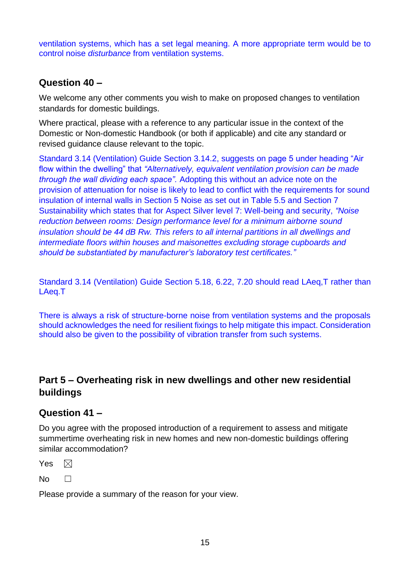ventilation systems, which has a set legal meaning. A more appropriate term would be to control noise *disturbance* from ventilation systems.

## **Question 40 –**

We welcome any other comments you wish to make on proposed changes to ventilation standards for domestic buildings.

Where practical, please with a reference to any particular issue in the context of the Domestic or Non-domestic Handbook (or both if applicable) and cite any standard or revised guidance clause relevant to the topic.

Standard 3.14 (Ventilation) Guide Section 3.14.2, suggests on page 5 under heading "Air flow within the dwelling" that *"Alternatively, equivalent ventilation provision can be made through the wall dividing each space".* Adopting this without an advice note on the provision of attenuation for noise is likely to lead to conflict with the requirements for sound insulation of internal walls in Section 5 Noise as set out in Table 5.5 and Section 7 Sustainability which states that for Aspect Silver level 7: Well-being and security, *"Noise reduction between rooms: Design performance level for a minimum airborne sound insulation should be 44 dB Rw. This refers to all internal partitions in all dwellings and intermediate floors within houses and maisonettes excluding storage cupboards and should be substantiated by manufacturer's laboratory test certificates."*

Standard 3.14 (Ventilation) Guide Section 5.18, 6.22, 7.20 should read LAeq,T rather than LAeq.T

There is always a risk of structure-borne noise from ventilation systems and the proposals should acknowledges the need for resilient fixings to help mitigate this impact. Consideration should also be given to the possibility of vibration transfer from such systems.

# **Part 5 – Overheating risk in new dwellings and other new residential buildings**

## **Question 41 –**

Do you agree with the proposed introduction of a requirement to assess and mitigate summertime overheating risk in new homes and new non-domestic buildings offering similar accommodation?

Yes  $\boxtimes$ 

 $No$   $\Box$ 

Please provide a summary of the reason for your view.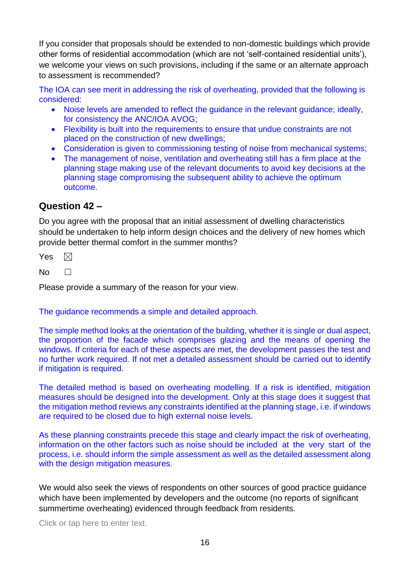If you consider that proposals should be extended to non-domestic buildings which provide other forms of residential accommodation (which are not 'self-contained residential units'), we welcome your views on such provisions, including if the same or an alternate approach to assessment is recommended?

The IOA can see merit in addressing the risk of overheating, provided that the following is considered:

- Noise levels are amended to reflect the quidance in the relevant quidance; ideally, for consistency the ANC/IOA AVOG;
- Flexibility is built into the requirements to ensure that undue constraints are not placed on the construction of new dwellings;
- Consideration is given to commissioning testing of noise from mechanical systems;
- The management of noise, ventilation and overheating still has a firm place at the planning stage making use of the relevant documents to avoid key decisions at the planning stage compromising the subsequent ability to achieve the optimum outcome.

### **Question 42 –**

Do you agree with the proposal that an initial assessment of dwelling characteristics should be undertaken to help inform design choices and the delivery of new homes which provide better thermal comfort in the summer months?

Yes  $\boxtimes$ 

 $No \square$ 

Please provide a summary of the reason for your view.

The guidance recommends a simple and detailed approach.

The simple method looks at the orientation of the building, whether it is single or dual aspect, the proportion of the facade which comprises glazing and the means of opening the windows. If criteria for each of these aspects are met, the development passes the test and no further work required. If not met a detailed assessment should be carried out to identify if mitigation is required.

The detailed method is based on overheating modelling. If a risk is identified, mitigation measures should be designed into the development. Only at this stage does it suggest that the mitigation method reviews any constraints identified at the planning stage, i.e. if windows are required to be closed due to high external noise levels.

As these planning constraints precede this stage and clearly impact the risk of overheating, information on the other factors such as noise should be included at the very start of the process, i.e. should inform the simple assessment as well as the detailed assessment along with the design mitigation measures.

We would also seek the views of respondents on other sources of good practice guidance which have been implemented by developers and the outcome (no reports of significant summertime overheating) evidenced through feedback from residents.

Click or tap here to enter text.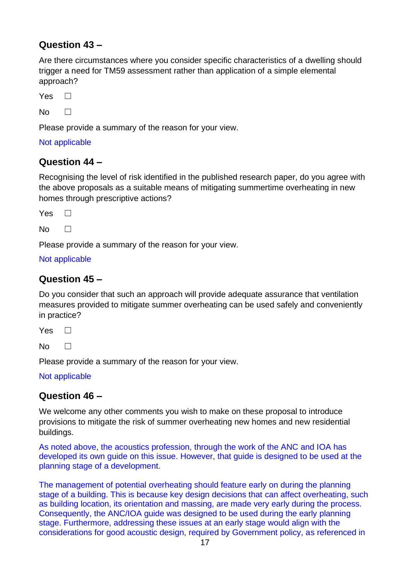# **Question 43 –**

Are there circumstances where you consider specific characteristics of a dwelling should trigger a need for TM59 assessment rather than application of a simple elemental approach?

Yes <del>□</del>

 $N<sub>0</sub>$   $\Box$ 

Please provide a summary of the reason for your view.

#### Not applicable

### **Question 44 –**

Recognising the level of risk identified in the published research paper, do you agree with the above proposals as a suitable means of mitigating summertime overheating in new homes through prescriptive actions?

 $Yes \Box$ 

 $No \qquad \Box$ 

Please provide a summary of the reason for your view.

#### Not applicable

### **Question 45 –**

Do you consider that such an approach will provide adequate assurance that ventilation measures provided to mitigate summer overheating can be used safely and conveniently in practice?

Yes <del>□</del>

 $No \qquad \Box$ 

Please provide a summary of the reason for your view.

Not applicable

### **Question 46 –**

We welcome any other comments you wish to make on these proposal to introduce provisions to mitigate the risk of summer overheating new homes and new residential buildings.

As noted above, the acoustics profession, through the work of the ANC and IOA has developed its own guide on this issue. However, that guide is designed to be used at the planning stage of a development.

The management of potential overheating should feature early on during the planning stage of a building. This is because key design decisions that can affect overheating, such as building location, its orientation and massing, are made very early during the process. Consequently, the ANC/IOA guide was designed to be used during the early planning stage. Furthermore, addressing these issues at an early stage would align with the considerations for good acoustic design, required by Government policy, as referenced in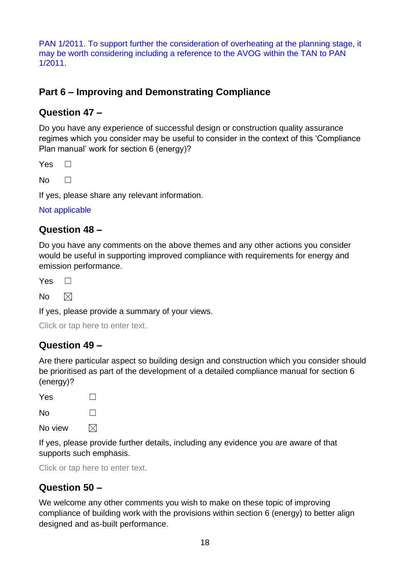PAN 1/2011. To support further the consideration of overheating at the planning stage, it may be worth considering including a reference to the AVOG within the TAN to PAN 1/2011.

# **Part 6 – Improving and Demonstrating Compliance**

### **Question 47 –**

Do you have any experience of successful design or construction quality assurance regimes which you consider may be useful to consider in the context of this 'Compliance Plan manual' work for section 6 (energy)?

 $Yes \ \Box$ 

 $N_0$   $\Box$ 

If yes, please share any relevant information.

Not applicable

### **Question 48 –**

Do you have any comments on the above themes and any other actions you consider would be useful in supporting improved compliance with requirements for energy and emission performance.

 $Yes \ \Box$ 

No  $\boxtimes$ 

If yes, please provide a summary of your views.

Click or tap here to enter text.

### **Question 49 –**

Are there particular aspect so building design and construction which you consider should be prioritised as part of the development of a detailed compliance manual for section 6 (energy)?

Yes □

 $N<sub>0</sub>$   $\Box$ 

No view  $\boxtimes$ 

If yes, please provide further details, including any evidence you are aware of that supports such emphasis.

Click or tap here to enter text.

## **Question 50 –**

We welcome any other comments you wish to make on these topic of improving compliance of building work with the provisions within section 6 (energy) to better align designed and as-built performance.